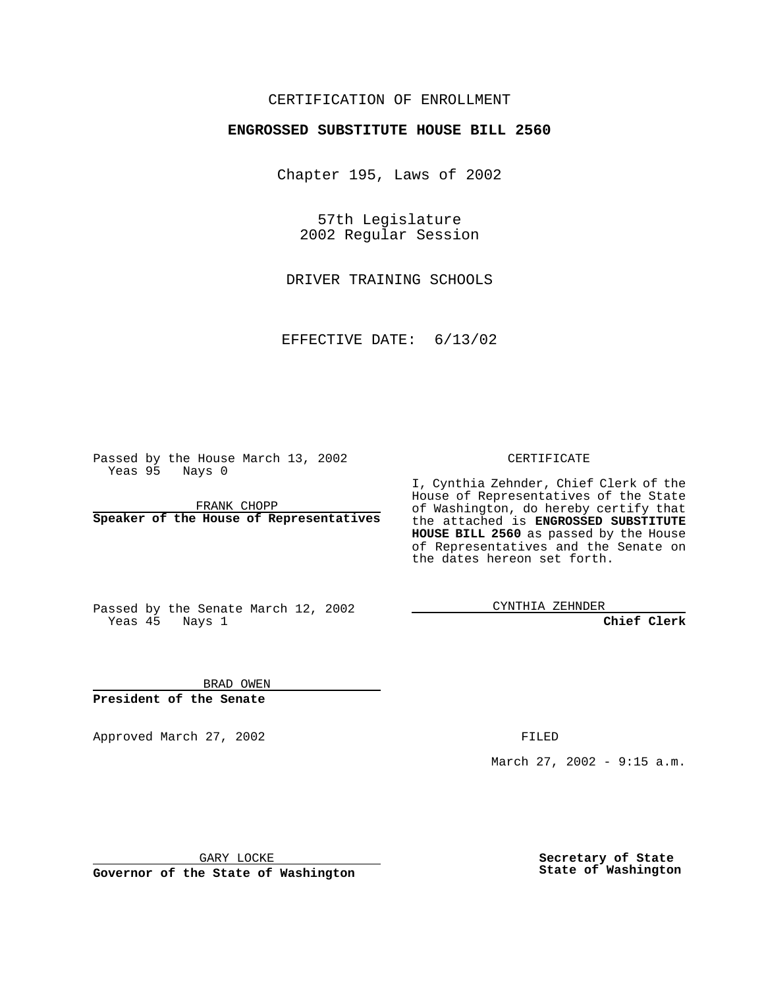## CERTIFICATION OF ENROLLMENT

# **ENGROSSED SUBSTITUTE HOUSE BILL 2560**

Chapter 195, Laws of 2002

57th Legislature 2002 Regular Session

DRIVER TRAINING SCHOOLS

EFFECTIVE DATE: 6/13/02

Passed by the House March 13, 2002 Yeas 95 Nays 0

FRANK CHOPP **Speaker of the House of Representatives** CERTIFICATE

I, Cynthia Zehnder, Chief Clerk of the House of Representatives of the State of Washington, do hereby certify that the attached is **ENGROSSED SUBSTITUTE HOUSE BILL 2560** as passed by the House of Representatives and the Senate on the dates hereon set forth.

Passed by the Senate March 12, 2002 Yeas 45 Nays 1

CYNTHIA ZEHNDER

**Chief Clerk**

BRAD OWEN **President of the Senate**

Approved March 27, 2002 **FILED** 

March 27, 2002 - 9:15 a.m.

GARY LOCKE

**Governor of the State of Washington**

**Secretary of State State of Washington**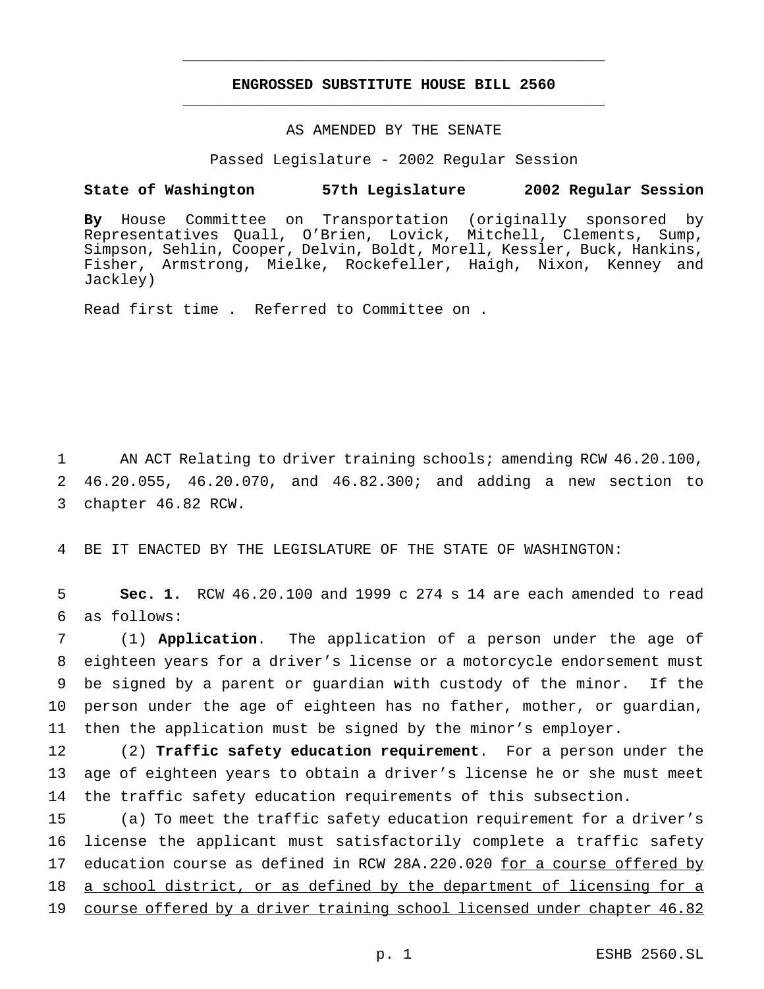## **ENGROSSED SUBSTITUTE HOUSE BILL 2560** \_\_\_\_\_\_\_\_\_\_\_\_\_\_\_\_\_\_\_\_\_\_\_\_\_\_\_\_\_\_\_\_\_\_\_\_\_\_\_\_\_\_\_\_\_\_\_

\_\_\_\_\_\_\_\_\_\_\_\_\_\_\_\_\_\_\_\_\_\_\_\_\_\_\_\_\_\_\_\_\_\_\_\_\_\_\_\_\_\_\_\_\_\_\_

### AS AMENDED BY THE SENATE

Passed Legislature - 2002 Regular Session

#### **State of Washington 57th Legislature 2002 Regular Session**

**By** House Committee on Transportation (originally sponsored by Representatives Quall, O'Brien, Lovick, Mitchell, Clements, Sump, Simpson, Sehlin, Cooper, Delvin, Boldt, Morell, Kessler, Buck, Hankins, Fisher, Armstrong, Mielke, Rockefeller, Haigh, Nixon, Kenney and Jackley)

Read first time . Referred to Committee on .

1 AN ACT Relating to driver training schools; amending RCW 46.20.100, 2 46.20.055, 46.20.070, and 46.82.300; and adding a new section to 3 chapter 46.82 RCW.

4 BE IT ENACTED BY THE LEGISLATURE OF THE STATE OF WASHINGTON:

5 **Sec. 1.** RCW 46.20.100 and 1999 c 274 s 14 are each amended to read 6 as follows:

 (1) **Application**. The application of a person under the age of eighteen years for a driver's license or a motorcycle endorsement must be signed by a parent or guardian with custody of the minor. If the person under the age of eighteen has no father, mother, or guardian, then the application must be signed by the minor's employer.

12 (2) **Traffic safety education requirement**. For a person under the 13 age of eighteen years to obtain a driver's license he or she must meet 14 the traffic safety education requirements of this subsection.

15 (a) To meet the traffic safety education requirement for a driver's 16 license the applicant must satisfactorily complete a traffic safety 17 education course as defined in RCW 28A.220.020 for a course offered by 18 a school district, or as defined by the department of licensing for a 19 course offered by a driver training school licensed under chapter 46.82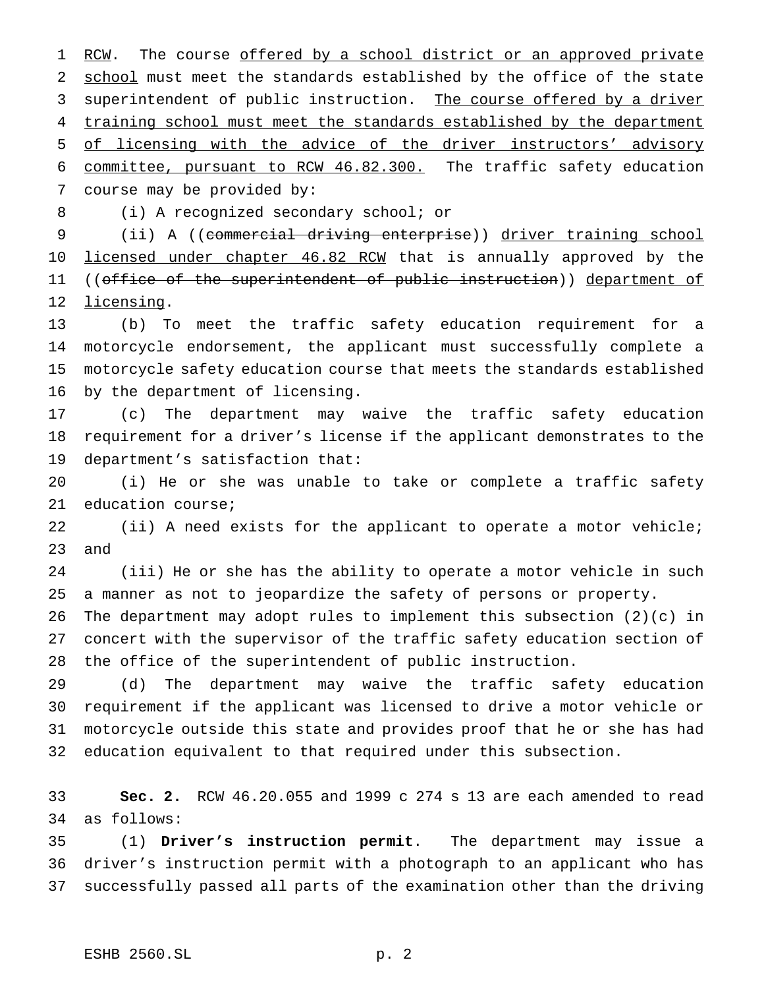1 RCW. The course offered by a school district or an approved private 2 school must meet the standards established by the office of the state 3 superintendent of public instruction. The course offered by a driver 4 training school must meet the standards established by the department of licensing with the advice of the driver instructors' advisory committee, pursuant to RCW 46.82.300. The traffic safety education course may be provided by:

(i) A recognized secondary school; or

 (ii) A ((commercial driving enterprise)) driver training school 10 licensed under chapter 46.82 RCW that is annually approved by the 11 ((office of the superintendent of public instruction)) department of licensing.

 (b) To meet the traffic safety education requirement for a motorcycle endorsement, the applicant must successfully complete a motorcycle safety education course that meets the standards established by the department of licensing.

 (c) The department may waive the traffic safety education requirement for a driver's license if the applicant demonstrates to the department's satisfaction that:

 (i) He or she was unable to take or complete a traffic safety education course;

 (ii) A need exists for the applicant to operate a motor vehicle; and

 (iii) He or she has the ability to operate a motor vehicle in such a manner as not to jeopardize the safety of persons or property.

 The department may adopt rules to implement this subsection (2)(c) in concert with the supervisor of the traffic safety education section of the office of the superintendent of public instruction.

 (d) The department may waive the traffic safety education requirement if the applicant was licensed to drive a motor vehicle or motorcycle outside this state and provides proof that he or she has had education equivalent to that required under this subsection.

 **Sec. 2.** RCW 46.20.055 and 1999 c 274 s 13 are each amended to read as follows:

 (1) **Driver's instruction permit**. The department may issue a driver's instruction permit with a photograph to an applicant who has successfully passed all parts of the examination other than the driving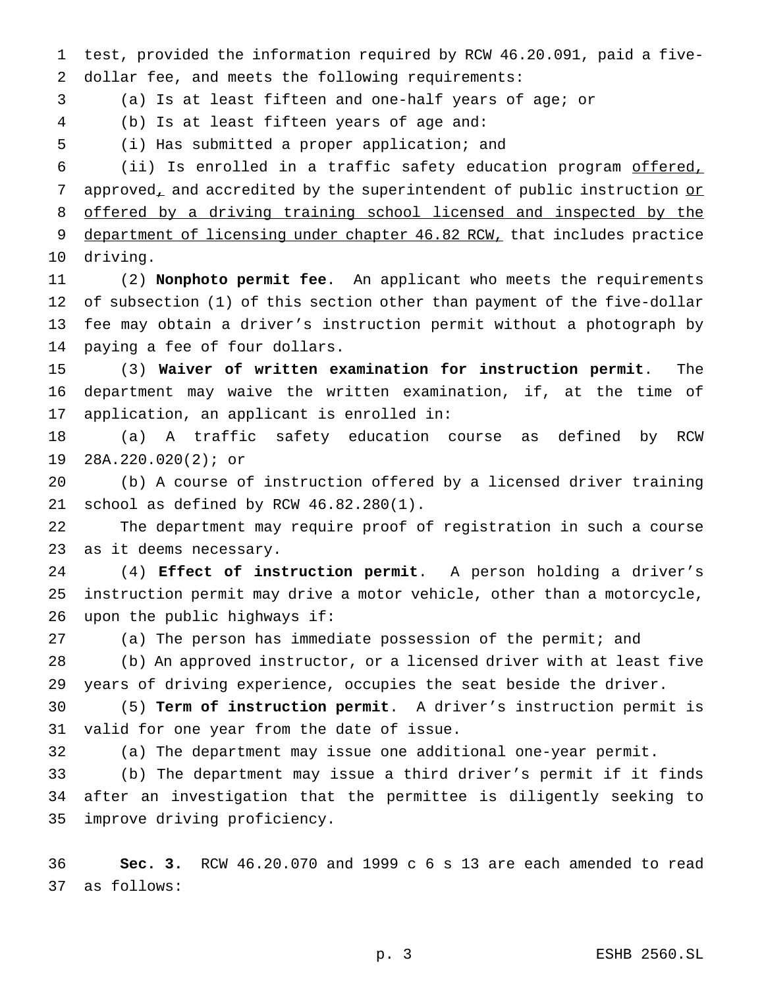test, provided the information required by RCW 46.20.091, paid a five-dollar fee, and meets the following requirements:

(a) Is at least fifteen and one-half years of age; or

(b) Is at least fifteen years of age and:

(i) Has submitted a proper application; and

 (ii) Is enrolled in a traffic safety education program offered, 7 approved, and accredited by the superintendent of public instruction or offered by a driving training school licensed and inspected by the 9 department of licensing under chapter 46.82 RCW, that includes practice driving.

 (2) **Nonphoto permit fee**. An applicant who meets the requirements of subsection (1) of this section other than payment of the five-dollar fee may obtain a driver's instruction permit without a photograph by paying a fee of four dollars.

 (3) **Waiver of written examination for instruction permit**. The department may waive the written examination, if, at the time of application, an applicant is enrolled in:

 (a) A traffic safety education course as defined by RCW 28A.220.020(2); or

 (b) A course of instruction offered by a licensed driver training school as defined by RCW 46.82.280(1).

 The department may require proof of registration in such a course as it deems necessary.

 (4) **Effect of instruction permit**. A person holding a driver's instruction permit may drive a motor vehicle, other than a motorcycle, upon the public highways if:

(a) The person has immediate possession of the permit; and

 (b) An approved instructor, or a licensed driver with at least five years of driving experience, occupies the seat beside the driver.

 (5) **Term of instruction permit**. A driver's instruction permit is valid for one year from the date of issue.

(a) The department may issue one additional one-year permit.

 (b) The department may issue a third driver's permit if it finds after an investigation that the permittee is diligently seeking to improve driving proficiency.

 **Sec. 3.** RCW 46.20.070 and 1999 c 6 s 13 are each amended to read as follows: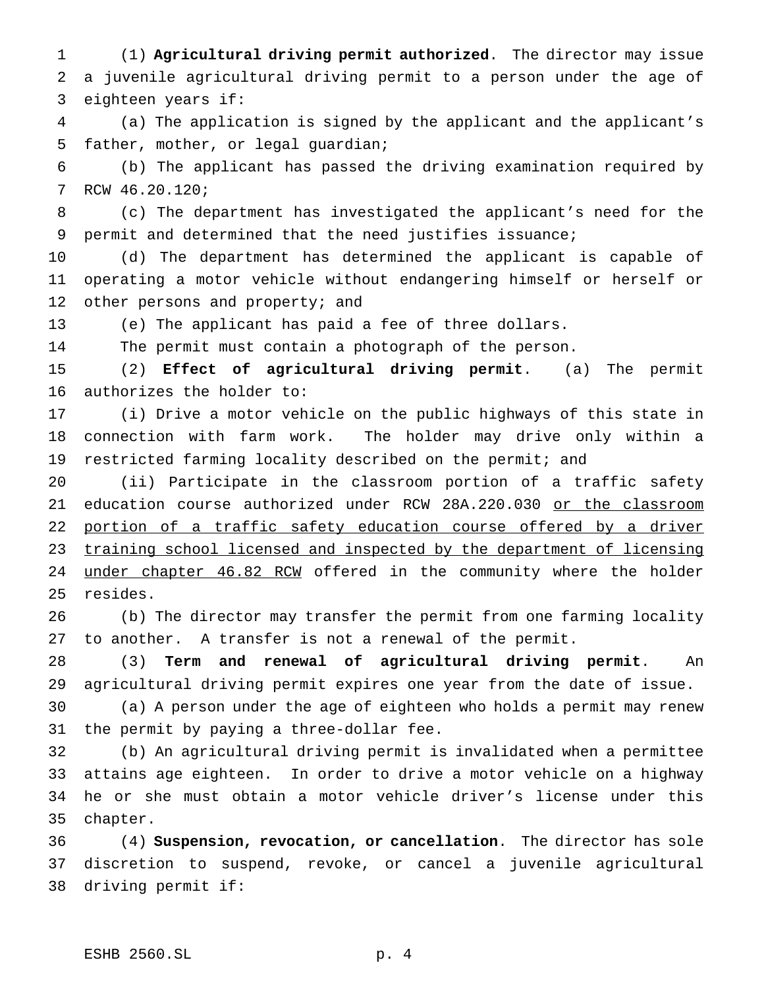(1) **Agricultural driving permit authorized**. The director may issue a juvenile agricultural driving permit to a person under the age of eighteen years if:

 (a) The application is signed by the applicant and the applicant's father, mother, or legal guardian;

 (b) The applicant has passed the driving examination required by RCW 46.20.120;

 (c) The department has investigated the applicant's need for the permit and determined that the need justifies issuance;

 (d) The department has determined the applicant is capable of operating a motor vehicle without endangering himself or herself or 12 other persons and property; and

(e) The applicant has paid a fee of three dollars.

The permit must contain a photograph of the person.

 (2) **Effect of agricultural driving permit**. (a) The permit authorizes the holder to:

 (i) Drive a motor vehicle on the public highways of this state in connection with farm work. The holder may drive only within a 19 restricted farming locality described on the permit; and

 (ii) Participate in the classroom portion of a traffic safety 21 education course authorized under RCW 28A.220.030 or the classroom 22 portion of a traffic safety education course offered by a driver 23 training school licensed and inspected by the department of licensing 24 under chapter 46.82 RCW offered in the community where the holder resides.

 (b) The director may transfer the permit from one farming locality to another. A transfer is not a renewal of the permit.

 (3) **Term and renewal of agricultural driving permit**. An agricultural driving permit expires one year from the date of issue.

 (a) A person under the age of eighteen who holds a permit may renew the permit by paying a three-dollar fee.

 (b) An agricultural driving permit is invalidated when a permittee attains age eighteen. In order to drive a motor vehicle on a highway he or she must obtain a motor vehicle driver's license under this chapter.

 (4) **Suspension, revocation, or cancellation**. The director has sole discretion to suspend, revoke, or cancel a juvenile agricultural driving permit if: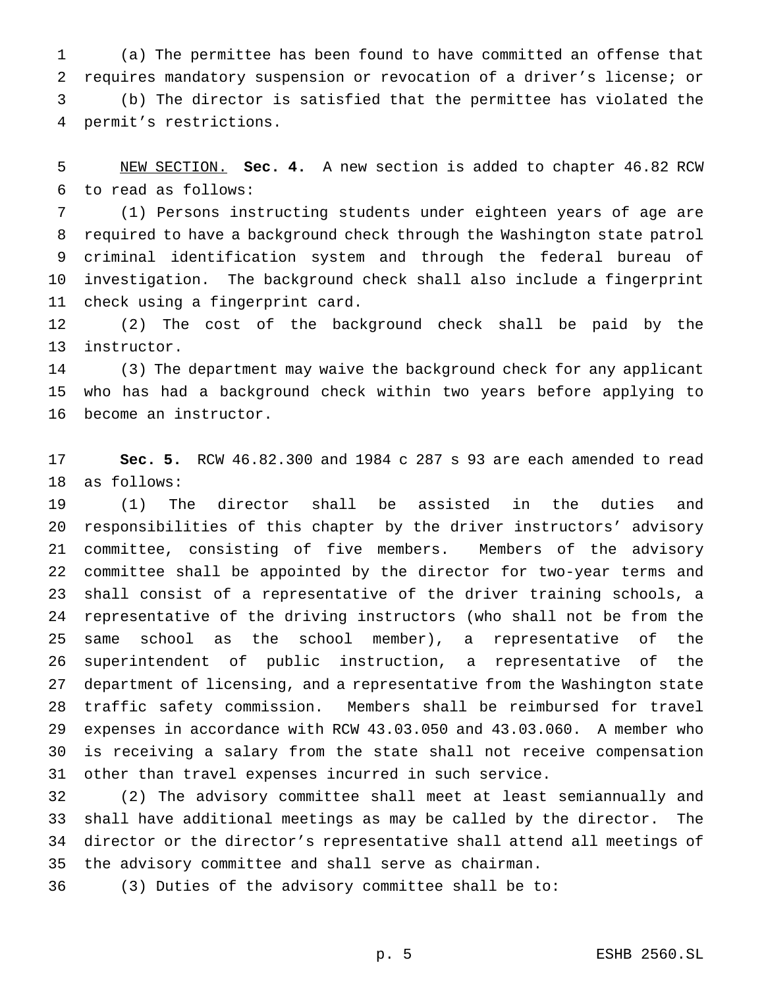(a) The permittee has been found to have committed an offense that requires mandatory suspension or revocation of a driver's license; or (b) The director is satisfied that the permittee has violated the permit's restrictions.

 NEW SECTION. **Sec. 4.** A new section is added to chapter 46.82 RCW to read as follows:

 (1) Persons instructing students under eighteen years of age are required to have a background check through the Washington state patrol criminal identification system and through the federal bureau of investigation. The background check shall also include a fingerprint check using a fingerprint card.

 (2) The cost of the background check shall be paid by the instructor.

 (3) The department may waive the background check for any applicant who has had a background check within two years before applying to become an instructor.

 **Sec. 5.** RCW 46.82.300 and 1984 c 287 s 93 are each amended to read as follows:

 (1) The director shall be assisted in the duties and responsibilities of this chapter by the driver instructors' advisory committee, consisting of five members. Members of the advisory committee shall be appointed by the director for two-year terms and shall consist of a representative of the driver training schools, a representative of the driving instructors (who shall not be from the same school as the school member), a representative of the superintendent of public instruction, a representative of the department of licensing, and a representative from the Washington state traffic safety commission. Members shall be reimbursed for travel expenses in accordance with RCW 43.03.050 and 43.03.060. A member who is receiving a salary from the state shall not receive compensation other than travel expenses incurred in such service.

 (2) The advisory committee shall meet at least semiannually and shall have additional meetings as may be called by the director. The director or the director's representative shall attend all meetings of the advisory committee and shall serve as chairman.

(3) Duties of the advisory committee shall be to: